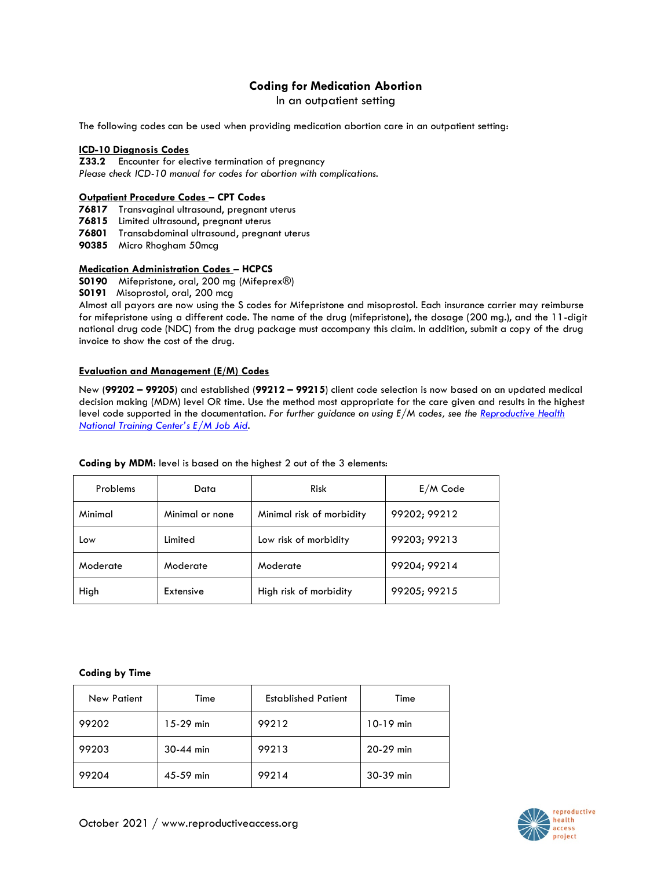# **Coding for Medication Abortion**

In an outpatient setting

The following codes can be used when providing medication abortion care in an outpatient setting:

### **ICD-10 Diagnosis Codes**

**Z33.2** Encounter for elective termination of pregnancy *Please check ICD-10 manual for codes for abortion with complications.*

### **Outpatient Procedure Codes – CPT Codes**

**76817** Transvaginal ultrasound, pregnant uterus

**76815** Limited ultrasound, pregnant uterus

**76801** Transabdominal ultrasound, pregnant uterus

**90385** Micro Rhogham 50mcg

## **Medication Administration Codes – HCPCS**

**S0190** Mifepristone, oral, 200 mg (Mifeprex®)

**S0191** Misoprostol, oral, 200 mcg

Almost all payors are now using the S codes for Mifepristone and misoprostol. Each insurance carrier may reimburse for mifepristone using a different code. The name of the drug (mifepristone), the dosage (200 mg.), and the 11-digit national drug code (NDC) from the drug package must accompany this claim. In addition, submit a copy of the drug invoice to show the cost of the drug.

### **Evaluation and Management (E/M) Codes**

New (**99202 – 99205**) and established (**99212 – 99215**) client code selection is now based on an updated medical decision making (MDM) level OR time. Use the method most appropriate for the care given and results in the highest level code supported in the documentation. *For further guidance on using E/M codes, see the [Reproductive Health](https://rhntc.org/resources/evaluation-and-management-codes-job-aid)  [National Training Center's E/M Job Aid](https://rhntc.org/resources/evaluation-and-management-codes-job-aid).*

| Problems | Data            | <b>Risk</b>               | $E/M$ Code   |
|----------|-----------------|---------------------------|--------------|
| Minimal  | Minimal or none | Minimal risk of morbidity | 99202; 99212 |
| Low      | Limited         | Low risk of morbidity     | 99203; 99213 |
| Moderate | Moderate        | Moderate                  | 99204; 99214 |
| High     | Extensive       | High risk of morbidity    | 99205; 99215 |

#### **Coding by MDM**: level is based on the highest 2 out of the 3 elements:

#### **Coding by Time**

| <b>New Patient</b> | Time        | <b>Established Patient</b> | Time        |
|--------------------|-------------|----------------------------|-------------|
| 99202              | $15-29$ min | 99212                      | $10-19$ min |
| 99203              | $30-44$ min | 99213                      | 20-29 min   |
| 99204              | 45-59 min   | 99214                      | 30-39 min   |